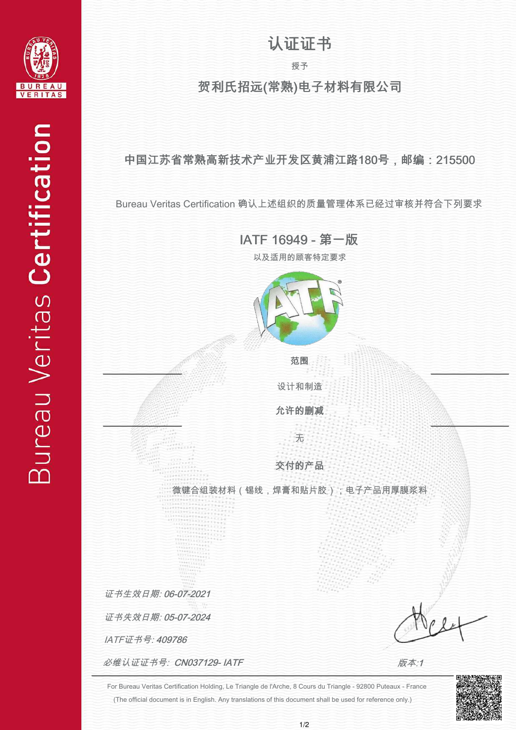

## 认证证书

授予

贺利氏招远(常熟)电子材料有限公司

中国江苏省常熟高新技术产业开发区黄浦江路180号,邮编:215500

Bureau Veritas Certification 确认上述组织的质量管理体系已经过审核并符合下列要求

IATF 16949 - 第一版

以及适用的顾客特定要求



设计和制造

范围

允许的删减

交付的产品

无

微键合组装材料(锡线,焊膏和贴片胶);电子产品用厚膜浆料

证书生效日期: 06-07-2021

证书失效日期: 05-07-2024

IATF证书号: 409786

必维认证证书号:  $CNO37129$ - IATF

版本:1

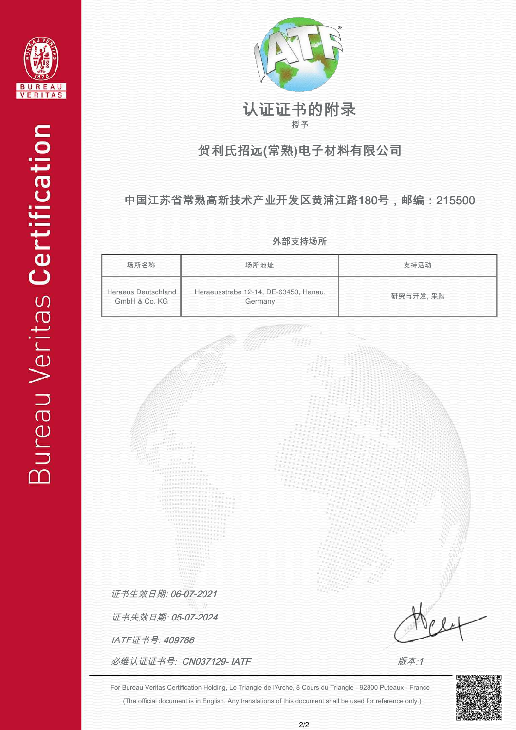



#### 授予 认证证书的附录

## 贺利氏招远(常熟)电子材料有限公司

#### 中国江苏省常熟高新技术产业开发区黄浦江路180号,邮编:215500

外部支持场所

| 场所名称                                 | 场所地址                                             | 支持活动     |  |
|--------------------------------------|--------------------------------------------------|----------|--|
| Heraeus Deutschland<br>GmbH & Co. KG | Heraeusstrabe 12-14, DE-63450, Hanau,<br>Germany | 研究与开发,采购 |  |

IATF证书号: 409786 证书失效日期: 05-07-2024 证书生效日期: 06-07-2021

必维认证证书号:  $CN037129$ -IATF

版本:1

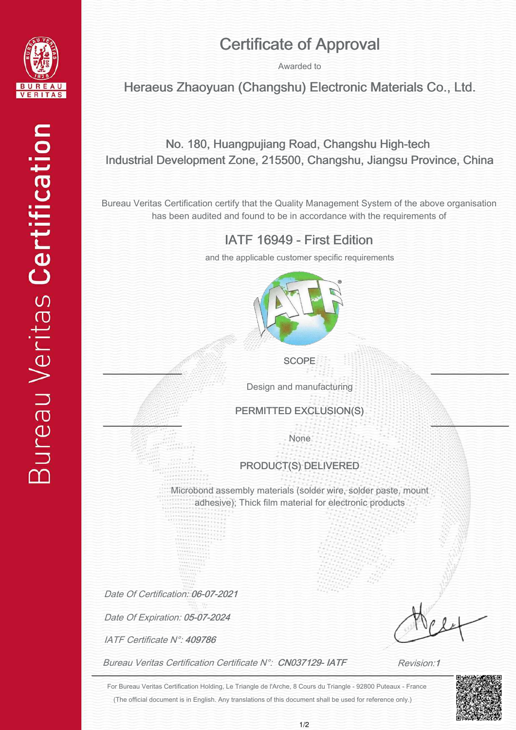

# Certificate of Approval

Awarded to

Heraeus Zhaoyuan (Changshu) Electronic Materials Co., Ltd.

#### No. 180, Huangpujiang Road, Changshu High-tech Industrial Development Zone, 215500, Changshu, Jiangsu Province, China

Bureau Veritas Certification certify that the Quality Management System of the above organisation has been audited and found to be in accordance with the requirements of

#### IATF 16949 - First Edition

and the applicable customer specific requirements



**SCOPE** 

Design and manufacturing

PERMITTED EXCLUSION(S)

None

#### PRODUCT(S) DELIVERED

Microbond assembly materials (solder wire, solder paste, mount adhesive); Thick film material for electronic products

Date Of Certification: 06-07-2021

Date Of Expiration: 05-07-2024

IATF Certificate N°: 409786

Bureau Veritas Certification Certificate N°: CN037129-IATF

Ī j ļ j j j Ì

Revision:1